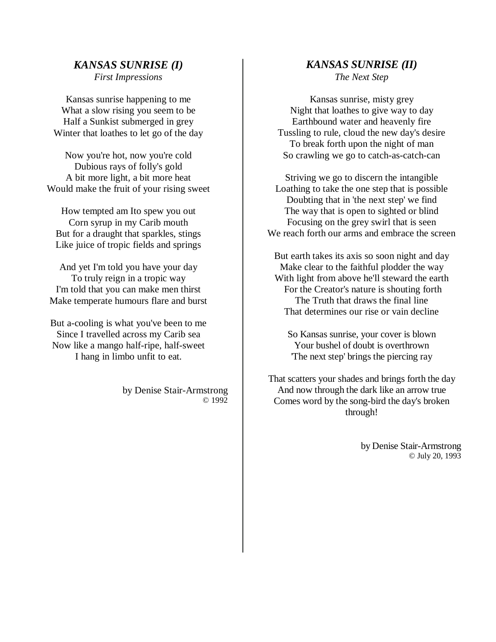## *KANSAS SUNRISE (I) First Impressions*

Kansas sunrise happening to me What a slow rising you seem to be Half a Sunkist submerged in grey Winter that loathes to let go of the day

Now you're hot, now you're cold Dubious rays of folly's gold A bit more light, a bit more heat Would make the fruit of your rising sweet

How tempted am Ito spew you out Corn syrup in my Carib mouth But for a draught that sparkles, stings Like juice of tropic fields and springs

And yet I'm told you have your day To truly reign in a tropic way I'm told that you can make men thirst Make temperate humours flare and burst

But a-cooling is what you've been to me Since I travelled across my Carib sea Now like a mango half-ripe, half-sweet I hang in limbo unfit to eat.

> by Denise Stair-Armstrong © 1992

## *KANSAS SUNRISE (II)*

*The Next Step*

Kansas sunrise, misty grey Night that loathes to give way to day Earthbound water and heavenly fire Tussling to rule, cloud the new day's desire To break forth upon the night of man So crawling we go to catch-as-catch-can

Striving we go to discern the intangible Loathing to take the one step that is possible Doubting that in 'the next step' we find The way that is open to sighted or blind Focusing on the grey swirl that is seen We reach forth our arms and embrace the screen

But earth takes its axis so soon night and day Make clear to the faithful plodder the way With light from above he'll steward the earth For the Creator's nature is shouting forth The Truth that draws the final line That determines our rise or vain decline

So Kansas sunrise, your cover is blown Your bushel of doubt is overthrown 'The next step' brings the piercing ray

That scatters your shades and brings forth the day And now through the dark like an arrow true Comes word by the song-bird the day's broken through!

> by Denise Stair-Armstrong © July 20, 1993